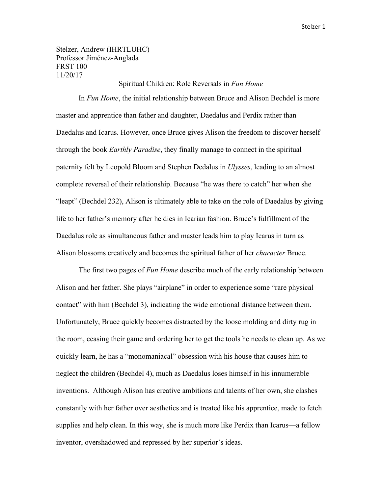Stelzer, Andrew (IHRTLUHC) Professor Jiménez-Anglada FRST 100 11/20/17

## Spiritual Children: Role Reversals in *Fun Home*

In *Fun Home*, the initial relationship between Bruce and Alison Bechdel is more master and apprentice than father and daughter, Daedalus and Perdix rather than Daedalus and Icarus. However, once Bruce gives Alison the freedom to discover herself through the book *Earthly Paradise*, they finally manage to connect in the spiritual paternity felt by Leopold Bloom and Stephen Dedalus in *Ulysses*, leading to an almost complete reversal of their relationship. Because "he was there to catch" her when she "leapt" (Bechdel 232), Alison is ultimately able to take on the role of Daedalus by giving life to her father's memory after he dies in Icarian fashion. Bruce's fulfillment of the Daedalus role as simultaneous father and master leads him to play Icarus in turn as Alison blossoms creatively and becomes the spiritual father of her *character* Bruce.

The first two pages of *Fun Home* describe much of the early relationship between Alison and her father. She plays "airplane" in order to experience some "rare physical contact" with him (Bechdel 3), indicating the wide emotional distance between them. Unfortunately, Bruce quickly becomes distracted by the loose molding and dirty rug in the room, ceasing their game and ordering her to get the tools he needs to clean up. As we quickly learn, he has a "monomaniacal" obsession with his house that causes him to neglect the children (Bechdel 4), much as Daedalus loses himself in his innumerable inventions. Although Alison has creative ambitions and talents of her own, she clashes constantly with her father over aesthetics and is treated like his apprentice, made to fetch supplies and help clean. In this way, she is much more like Perdix than Icarus—a fellow inventor, overshadowed and repressed by her superior's ideas.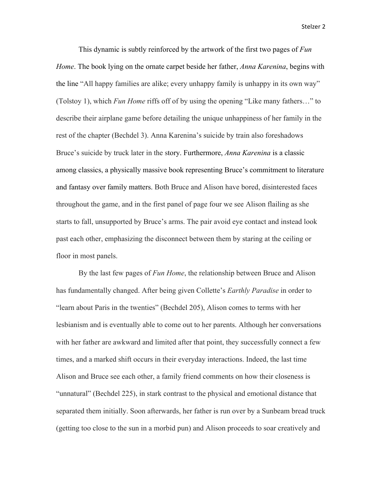This dynamic is subtly reinforced by the artwork of the first two pages of *Fun Home*. The book lying on the ornate carpet beside her father, *Anna Karenina*, begins with the line "All happy families are alike; every unhappy family is unhappy in its own way" (Tolstoy 1), which *Fun Home* riffs off of by using the opening "Like many fathers…" to describe their airplane game before detailing the unique unhappiness of her family in the rest of the chapter (Bechdel 3). Anna Karenina's suicide by train also foreshadows Bruce's suicide by truck later in the story. Furthermore, *Anna Karenina* is a classic among classics, a physically massive book representing Bruce's commitment to literature and fantasy over family matters. Both Bruce and Alison have bored, disinterested faces throughout the game, and in the first panel of page four we see Alison flailing as she starts to fall, unsupported by Bruce's arms. The pair avoid eye contact and instead look past each other, emphasizing the disconnect between them by staring at the ceiling or floor in most panels.

By the last few pages of *Fun Home*, the relationship between Bruce and Alison has fundamentally changed. After being given Collette's *Earthly Paradise* in order to "learn about Paris in the twenties" (Bechdel 205), Alison comes to terms with her lesbianism and is eventually able to come out to her parents. Although her conversations with her father are awkward and limited after that point, they successfully connect a few times, and a marked shift occurs in their everyday interactions. Indeed, the last time Alison and Bruce see each other, a family friend comments on how their closeness is "unnatural" (Bechdel 225), in stark contrast to the physical and emotional distance that separated them initially. Soon afterwards, her father is run over by a Sunbeam bread truck (getting too close to the sun in a morbid pun) and Alison proceeds to soar creatively and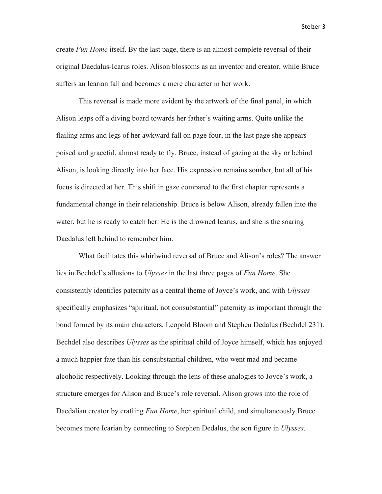create *Fun Home* itself. By the last page, there is an almost complete reversal of their original Daedalus-Icarus roles. Alison blossoms as an inventor and creator, while Bruce suffers an Icarian fall and becomes a mere character in her work.

This reversal is made more evident by the artwork of the final panel, in which Alison leaps off a diving board towards her father's waiting arms. Quite unlike the flailing arms and legs of her awkward fall on page four, in the last page she appears poised and graceful, almost ready to fly. Bruce, instead of gazing at the sky or behind Alison, is looking directly into her face. His expression remains somber, but all of his focus is directed at her. This shift in gaze compared to the first chapter represents a fundamental change in their relationship. Bruce is below Alison, already fallen into the water, but he is ready to catch her. He is the drowned Icarus, and she is the soaring Daedalus left behind to remember him.

What facilitates this whirlwind reversal of Bruce and Alison's roles? The answer lies in Bechdel's allusions to *Ulysses* in the last three pages of *Fun Home*. She consistently identifies paternity as a central theme of Joyce's work, and with *Ulysses* specifically emphasizes "spiritual, not consubstantial" paternity as important through the bond formed by its main characters, Leopold Bloom and Stephen Dedalus (Bechdel 231). Bechdel also describes *Ulysses* as the spiritual child of Joyce himself, which has enjoyed a much happier fate than his consubstantial children, who went mad and became alcoholic respectively. Looking through the lens of these analogies to Joyce's work, a structure emerges for Alison and Bruce's role reversal. Alison grows into the role of Daedalian creator by crafting *Fun Home*, her spiritual child, and simultaneously Bruce becomes more Icarian by connecting to Stephen Dedalus, the son figure in *Ulysses*.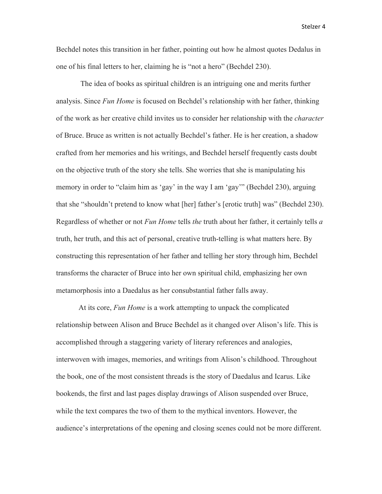Bechdel notes this transition in her father, pointing out how he almost quotes Dedalus in one of his final letters to her, claiming he is "not a hero" (Bechdel 230).

The idea of books as spiritual children is an intriguing one and merits further analysis. Since *Fun Home* is focused on Bechdel's relationship with her father, thinking of the work as her creative child invites us to consider her relationship with the *character* of Bruce. Bruce as written is not actually Bechdel's father. He is her creation, a shadow crafted from her memories and his writings, and Bechdel herself frequently casts doubt on the objective truth of the story she tells. She worries that she is manipulating his memory in order to "claim him as 'gay' in the way I am 'gay'" (Bechdel 230), arguing that she "shouldn't pretend to know what [her] father's [erotic truth] was" (Bechdel 230). Regardless of whether or not *Fun Home* tells *the* truth about her father, it certainly tells *a* truth, her truth, and this act of personal, creative truth-telling is what matters here. By constructing this representation of her father and telling her story through him, Bechdel transforms the character of Bruce into her own spiritual child, emphasizing her own metamorphosis into a Daedalus as her consubstantial father falls away.

At its core, *Fun Home* is a work attempting to unpack the complicated relationship between Alison and Bruce Bechdel as it changed over Alison's life. This is accomplished through a staggering variety of literary references and analogies, interwoven with images, memories, and writings from Alison's childhood. Throughout the book, one of the most consistent threads is the story of Daedalus and Icarus. Like bookends, the first and last pages display drawings of Alison suspended over Bruce, while the text compares the two of them to the mythical inventors. However, the audience's interpretations of the opening and closing scenes could not be more different.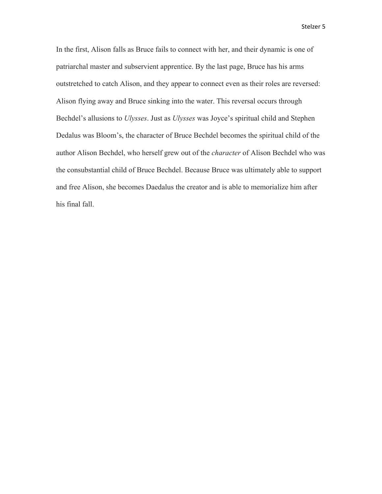In the first, Alison falls as Bruce fails to connect with her, and their dynamic is one of patriarchal master and subservient apprentice. By the last page, Bruce has his arms outstretched to catch Alison, and they appear to connect even as their roles are reversed: Alison flying away and Bruce sinking into the water. This reversal occurs through Bechdel's allusions to *Ulysses*. Just as *Ulysses* was Joyce's spiritual child and Stephen Dedalus was Bloom's, the character of Bruce Bechdel becomes the spiritual child of the author Alison Bechdel, who herself grew out of the *character* of Alison Bechdel who was the consubstantial child of Bruce Bechdel. Because Bruce was ultimately able to support and free Alison, she becomes Daedalus the creator and is able to memorialize him after his final fall.